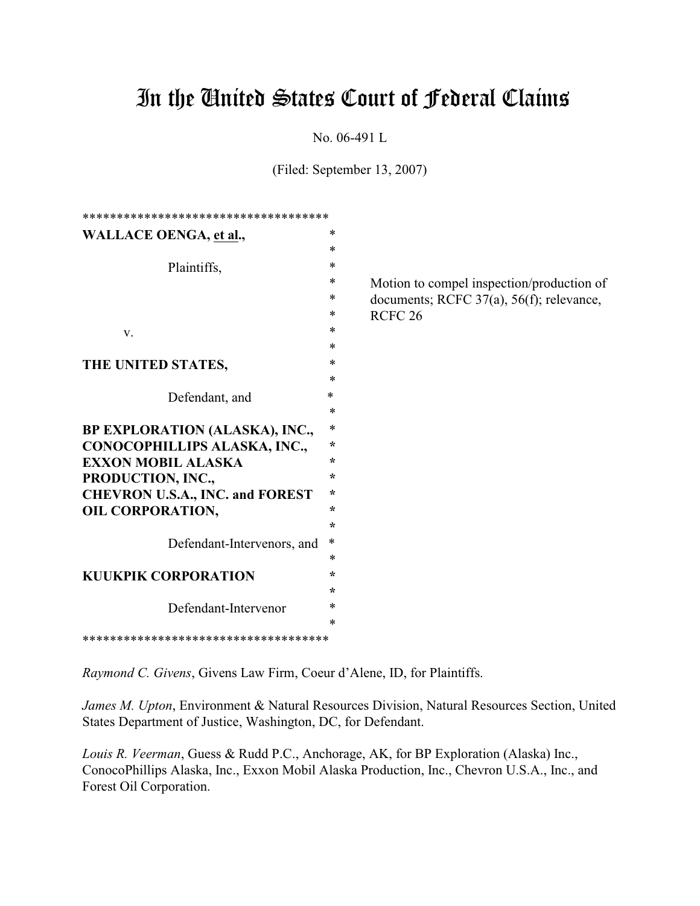# In the United States Court of Federal Claims

No. 06-491 L

(Filed: September 13, 2007)

| ************************************   |         |                                           |
|----------------------------------------|---------|-------------------------------------------|
| <b>WALLACE OENGA, et al.,</b>          | $\ast$  |                                           |
|                                        | $\ast$  |                                           |
| Plaintiffs,                            | *       |                                           |
|                                        | *       | Motion to compel inspection/production of |
|                                        | $\ast$  | documents; RCFC 37(a), 56(f); relevance,  |
|                                        | ∗       | RCFC <sub>26</sub>                        |
| V.                                     | $\ast$  |                                           |
|                                        | $\ast$  |                                           |
| THE UNITED STATES,                     | $\ast$  |                                           |
|                                        | *       |                                           |
| Defendant, and                         | $\ast$  |                                           |
|                                        | $\ast$  |                                           |
| BP EXPLORATION (ALASKA), INC.,         | $\ast$  |                                           |
| CONOCOPHILLIPS ALASKA, INC.,           | $\star$ |                                           |
| <b>EXXON MOBIL ALASKA</b>              | ÷       |                                           |
| PRODUCTION, INC.,                      | $\star$ |                                           |
| <b>CHEVRON U.S.A., INC. and FOREST</b> | $\star$ |                                           |
| <b>OIL CORPORATION,</b>                | $\star$ |                                           |
|                                        | $\star$ |                                           |
| Defendant-Intervenors, and             | ∗       |                                           |
|                                        | $\ast$  |                                           |
| <b>KUUKPIK CORPORATION</b>             | ÷       |                                           |
|                                        | ÷       |                                           |
| Defendant-Intervenor                   | $\ast$  |                                           |
|                                        | $\ast$  |                                           |
| ************************************   |         |                                           |

*Raymond C. Givens*, Givens Law Firm, Coeur d'Alene, ID, for Plaintiffs.

*James M. Upton*, Environment & Natural Resources Division, Natural Resources Section, United States Department of Justice, Washington, DC, for Defendant.

*Louis R. Veerman*, Guess & Rudd P.C., Anchorage, AK, for BP Exploration (Alaska) Inc., ConocoPhillips Alaska, Inc., Exxon Mobil Alaska Production, Inc., Chevron U.S.A., Inc., and Forest Oil Corporation.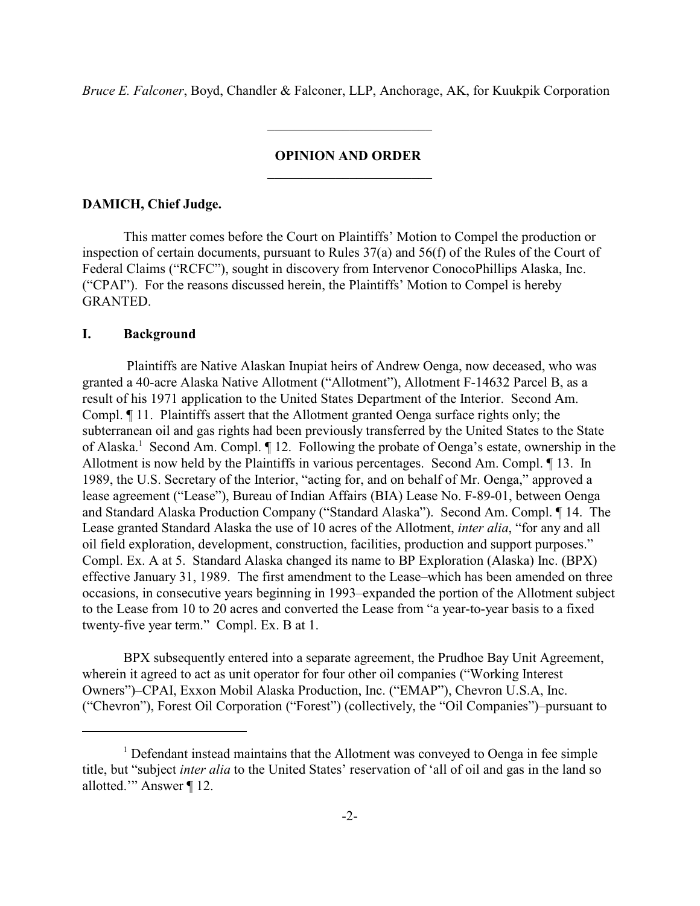*Bruce E. Falconer*, Boyd, Chandler & Falconer, LLP, Anchorage, AK, for Kuukpik Corporation

 $\mathcal{L}_\text{max}$  and  $\mathcal{L}_\text{max}$  and  $\mathcal{L}_\text{max}$  and  $\mathcal{L}_\text{max}$ 

#### **OPINION AND ORDER**

\_\_\_\_\_\_\_\_\_\_\_\_\_\_\_\_\_\_\_\_\_\_\_\_

## **DAMICH, Chief Judge.**

This matter comes before the Court on Plaintiffs' Motion to Compel the production or inspection of certain documents, pursuant to Rules 37(a) and 56(f) of the Rules of the Court of Federal Claims ("RCFC"), sought in discovery from Intervenor ConocoPhillips Alaska, Inc. ("CPAI"). For the reasons discussed herein, the Plaintiffs' Motion to Compel is hereby GRANTED.

### **I. Background**

 Plaintiffs are Native Alaskan Inupiat heirs of Andrew Oenga, now deceased, who was granted a 40-acre Alaska Native Allotment ("Allotment"), Allotment F-14632 Parcel B, as a result of his 1971 application to the United States Department of the Interior. Second Am. Compl. ¶ 11. Plaintiffs assert that the Allotment granted Oenga surface rights only; the subterranean oil and gas rights had been previously transferred by the United States to the State of Alaska.<sup>1</sup> Second Am. Compl.  $\P$  12. Following the probate of Oenga's estate, ownership in the Allotment is now held by the Plaintiffs in various percentages. Second Am. Compl. ¶ 13. In 1989, the U.S. Secretary of the Interior, "acting for, and on behalf of Mr. Oenga," approved a lease agreement ("Lease"), Bureau of Indian Affairs (BIA) Lease No. F-89-01, between Oenga and Standard Alaska Production Company ("Standard Alaska"). Second Am. Compl. ¶ 14. The Lease granted Standard Alaska the use of 10 acres of the Allotment, *inter alia*, "for any and all oil field exploration, development, construction, facilities, production and support purposes." Compl. Ex. A at 5. Standard Alaska changed its name to BP Exploration (Alaska) Inc. (BPX) effective January 31, 1989. The first amendment to the Lease–which has been amended on three occasions, in consecutive years beginning in 1993–expanded the portion of the Allotment subject to the Lease from 10 to 20 acres and converted the Lease from "a year-to-year basis to a fixed twenty-five year term." Compl. Ex. B at 1.

BPX subsequently entered into a separate agreement, the Prudhoe Bay Unit Agreement, wherein it agreed to act as unit operator for four other oil companies ("Working Interest Owners")–CPAI, Exxon Mobil Alaska Production, Inc. ("EMAP"), Chevron U.S.A, Inc. ("Chevron"), Forest Oil Corporation ("Forest") (collectively, the "Oil Companies")–pursuant to

 $<sup>1</sup>$  Defendant instead maintains that the Allotment was conveyed to Oenga in fee simple</sup> title, but "subject *inter alia* to the United States' reservation of 'all of oil and gas in the land so allotted.'" Answer ¶ 12.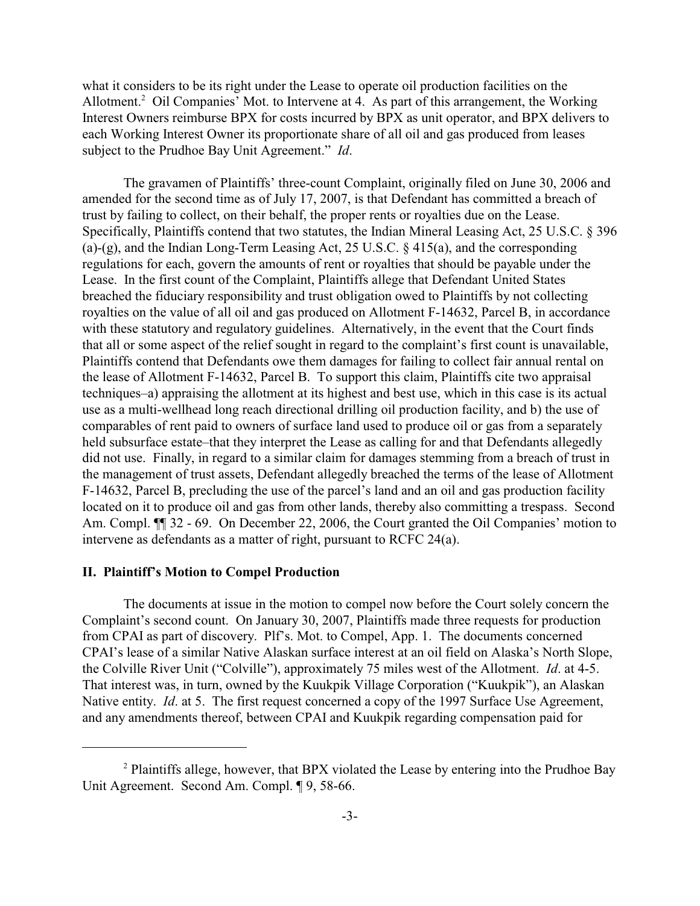what it considers to be its right under the Lease to operate oil production facilities on the Allotment.<sup>2</sup> Oil Companies' Mot. to Intervene at 4. As part of this arrangement, the Working Interest Owners reimburse BPX for costs incurred by BPX as unit operator, and BPX delivers to each Working Interest Owner its proportionate share of all oil and gas produced from leases subject to the Prudhoe Bay Unit Agreement." *Id*.

The gravamen of Plaintiffs' three-count Complaint, originally filed on June 30, 2006 and amended for the second time as of July 17, 2007, is that Defendant has committed a breach of trust by failing to collect, on their behalf, the proper rents or royalties due on the Lease. Specifically, Plaintiffs contend that two statutes, the Indian Mineral Leasing Act, 25 U.S.C. § 396 (a)-(g), and the Indian Long-Term Leasing Act, 25 U.S.C.  $\S$  415(a), and the corresponding regulations for each, govern the amounts of rent or royalties that should be payable under the Lease. In the first count of the Complaint, Plaintiffs allege that Defendant United States breached the fiduciary responsibility and trust obligation owed to Plaintiffs by not collecting royalties on the value of all oil and gas produced on Allotment F-14632, Parcel B, in accordance with these statutory and regulatory guidelines. Alternatively, in the event that the Court finds that all or some aspect of the relief sought in regard to the complaint's first count is unavailable, Plaintiffs contend that Defendants owe them damages for failing to collect fair annual rental on the lease of Allotment F-14632, Parcel B. To support this claim, Plaintiffs cite two appraisal techniques–a) appraising the allotment at its highest and best use, which in this case is its actual use as a multi-wellhead long reach directional drilling oil production facility, and b) the use of comparables of rent paid to owners of surface land used to produce oil or gas from a separately held subsurface estate–that they interpret the Lease as calling for and that Defendants allegedly did not use. Finally, in regard to a similar claim for damages stemming from a breach of trust in the management of trust assets, Defendant allegedly breached the terms of the lease of Allotment F-14632, Parcel B, precluding the use of the parcel's land and an oil and gas production facility located on it to produce oil and gas from other lands, thereby also committing a trespass. Second Am. Compl.  $\P$  32 - 69. On December 22, 2006, the Court granted the Oil Companies' motion to intervene as defendants as a matter of right, pursuant to RCFC 24(a).

#### **II. Plaintiff's Motion to Compel Production**

The documents at issue in the motion to compel now before the Court solely concern the Complaint's second count. On January 30, 2007, Plaintiffs made three requests for production from CPAI as part of discovery. Plf's. Mot. to Compel, App. 1. The documents concerned CPAI's lease of a similar Native Alaskan surface interest at an oil field on Alaska's North Slope, the Colville River Unit ("Colville"), approximately 75 miles west of the Allotment. *Id*. at 4-5. That interest was, in turn, owned by the Kuukpik Village Corporation ("Kuukpik"), an Alaskan Native entity. *Id.* at 5. The first request concerned a copy of the 1997 Surface Use Agreement, and any amendments thereof, between CPAI and Kuukpik regarding compensation paid for

 $P^2$  Plaintiffs allege, however, that BPX violated the Lease by entering into the Prudhoe Bay Unit Agreement. Second Am. Compl. ¶ 9, 58-66.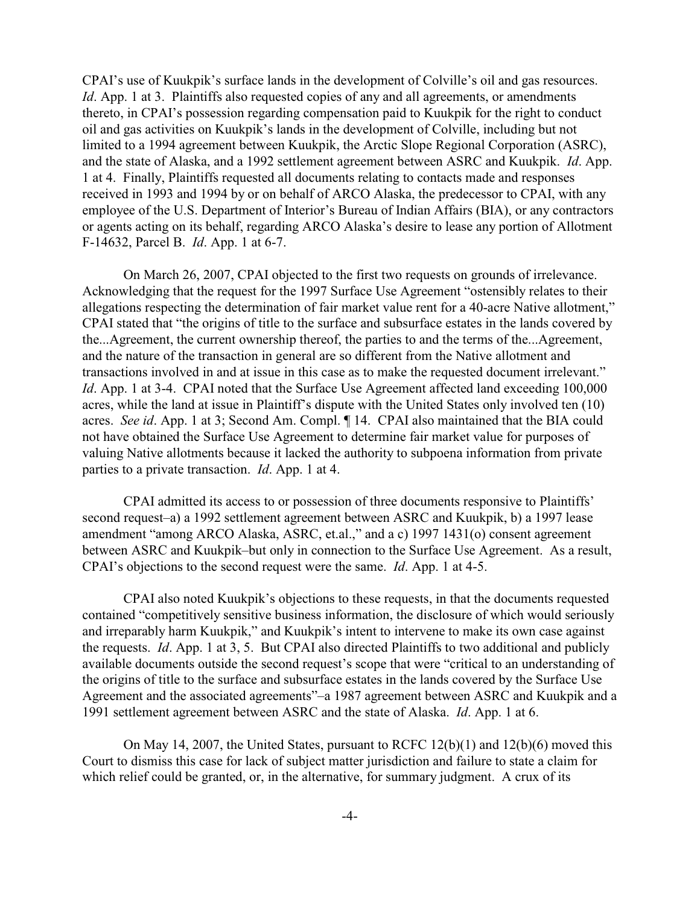CPAI's use of Kuukpik's surface lands in the development of Colville's oil and gas resources. *Id*. App. 1 at 3. Plaintiffs also requested copies of any and all agreements, or amendments thereto, in CPAI's possession regarding compensation paid to Kuukpik for the right to conduct oil and gas activities on Kuukpik's lands in the development of Colville, including but not limited to a 1994 agreement between Kuukpik, the Arctic Slope Regional Corporation (ASRC), and the state of Alaska, and a 1992 settlement agreement between ASRC and Kuukpik. *Id*. App. 1 at 4. Finally, Plaintiffs requested all documents relating to contacts made and responses received in 1993 and 1994 by or on behalf of ARCO Alaska, the predecessor to CPAI, with any employee of the U.S. Department of Interior's Bureau of Indian Affairs (BIA), or any contractors or agents acting on its behalf, regarding ARCO Alaska's desire to lease any portion of Allotment F-14632, Parcel B. *Id*. App. 1 at 6-7.

On March 26, 2007, CPAI objected to the first two requests on grounds of irrelevance. Acknowledging that the request for the 1997 Surface Use Agreement "ostensibly relates to their allegations respecting the determination of fair market value rent for a 40-acre Native allotment," CPAI stated that "the origins of title to the surface and subsurface estates in the lands covered by the...Agreement, the current ownership thereof, the parties to and the terms of the...Agreement, and the nature of the transaction in general are so different from the Native allotment and transactions involved in and at issue in this case as to make the requested document irrelevant." *Id.* App. 1 at 3-4. CPAI noted that the Surface Use Agreement affected land exceeding 100,000 acres, while the land at issue in Plaintiff's dispute with the United States only involved ten (10) acres. *See id*. App. 1 at 3; Second Am. Compl. ¶ 14. CPAI also maintained that the BIA could not have obtained the Surface Use Agreement to determine fair market value for purposes of valuing Native allotments because it lacked the authority to subpoena information from private parties to a private transaction. *Id*. App. 1 at 4.

CPAI admitted its access to or possession of three documents responsive to Plaintiffs' second request–a) a 1992 settlement agreement between ASRC and Kuukpik, b) a 1997 lease amendment "among ARCO Alaska, ASRC, et.al.," and a c) 1997 1431(o) consent agreement between ASRC and Kuukpik–but only in connection to the Surface Use Agreement. As a result, CPAI's objections to the second request were the same. *Id*. App. 1 at 4-5.

CPAI also noted Kuukpik's objections to these requests, in that the documents requested contained "competitively sensitive business information, the disclosure of which would seriously and irreparably harm Kuukpik," and Kuukpik's intent to intervene to make its own case against the requests. *Id*. App. 1 at 3, 5. But CPAI also directed Plaintiffs to two additional and publicly available documents outside the second request's scope that were "critical to an understanding of the origins of title to the surface and subsurface estates in the lands covered by the Surface Use Agreement and the associated agreements"–a 1987 agreement between ASRC and Kuukpik and a 1991 settlement agreement between ASRC and the state of Alaska. *Id*. App. 1 at 6.

On May 14, 2007, the United States, pursuant to RCFC 12(b)(1) and 12(b)(6) moved this Court to dismiss this case for lack of subject matter jurisdiction and failure to state a claim for which relief could be granted, or, in the alternative, for summary judgment. A crux of its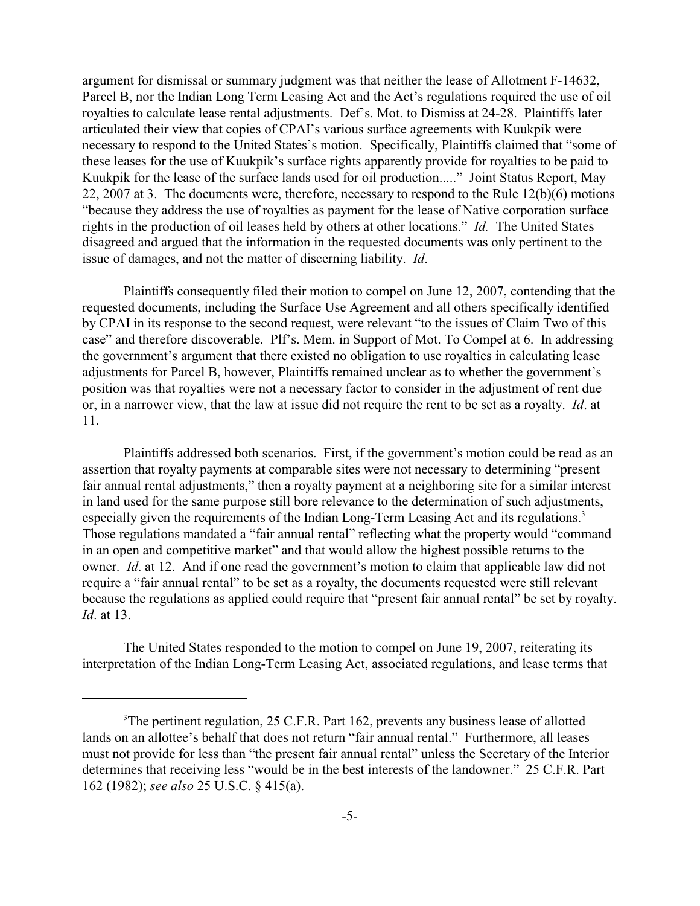argument for dismissal or summary judgment was that neither the lease of Allotment F-14632, Parcel B, nor the Indian Long Term Leasing Act and the Act's regulations required the use of oil royalties to calculate lease rental adjustments. Def's. Mot. to Dismiss at 24-28. Plaintiffs later articulated their view that copies of CPAI's various surface agreements with Kuukpik were necessary to respond to the United States's motion. Specifically, Plaintiffs claimed that "some of these leases for the use of Kuukpik's surface rights apparently provide for royalties to be paid to Kuukpik for the lease of the surface lands used for oil production....." Joint Status Report, May 22, 2007 at 3. The documents were, therefore, necessary to respond to the Rule 12(b)(6) motions "because they address the use of royalties as payment for the lease of Native corporation surface rights in the production of oil leases held by others at other locations." *Id.* The United States disagreed and argued that the information in the requested documents was only pertinent to the issue of damages, and not the matter of discerning liability. *Id*.

Plaintiffs consequently filed their motion to compel on June 12, 2007, contending that the requested documents, including the Surface Use Agreement and all others specifically identified by CPAI in its response to the second request, were relevant "to the issues of Claim Two of this case" and therefore discoverable. Plf's. Mem. in Support of Mot. To Compel at 6. In addressing the government's argument that there existed no obligation to use royalties in calculating lease adjustments for Parcel B, however, Plaintiffs remained unclear as to whether the government's position was that royalties were not a necessary factor to consider in the adjustment of rent due or, in a narrower view, that the law at issue did not require the rent to be set as a royalty. *Id*. at 11.

Plaintiffs addressed both scenarios. First, if the government's motion could be read as an assertion that royalty payments at comparable sites were not necessary to determining "present fair annual rental adjustments," then a royalty payment at a neighboring site for a similar interest in land used for the same purpose still bore relevance to the determination of such adjustments, especially given the requirements of the Indian Long-Term Leasing Act and its regulations.<sup>3</sup> Those regulations mandated a "fair annual rental" reflecting what the property would "command in an open and competitive market" and that would allow the highest possible returns to the owner. *Id*. at 12. And if one read the government's motion to claim that applicable law did not require a "fair annual rental" to be set as a royalty, the documents requested were still relevant because the regulations as applied could require that "present fair annual rental" be set by royalty. *Id*. at 13.

The United States responded to the motion to compel on June 19, 2007, reiterating its interpretation of the Indian Long-Term Leasing Act, associated regulations, and lease terms that

 $3$ The pertinent regulation, 25 C.F.R. Part 162, prevents any business lease of allotted lands on an allottee's behalf that does not return "fair annual rental." Furthermore, all leases must not provide for less than "the present fair annual rental" unless the Secretary of the Interior determines that receiving less "would be in the best interests of the landowner." 25 C.F.R. Part 162 (1982); *see also* 25 U.S.C. § 415(a).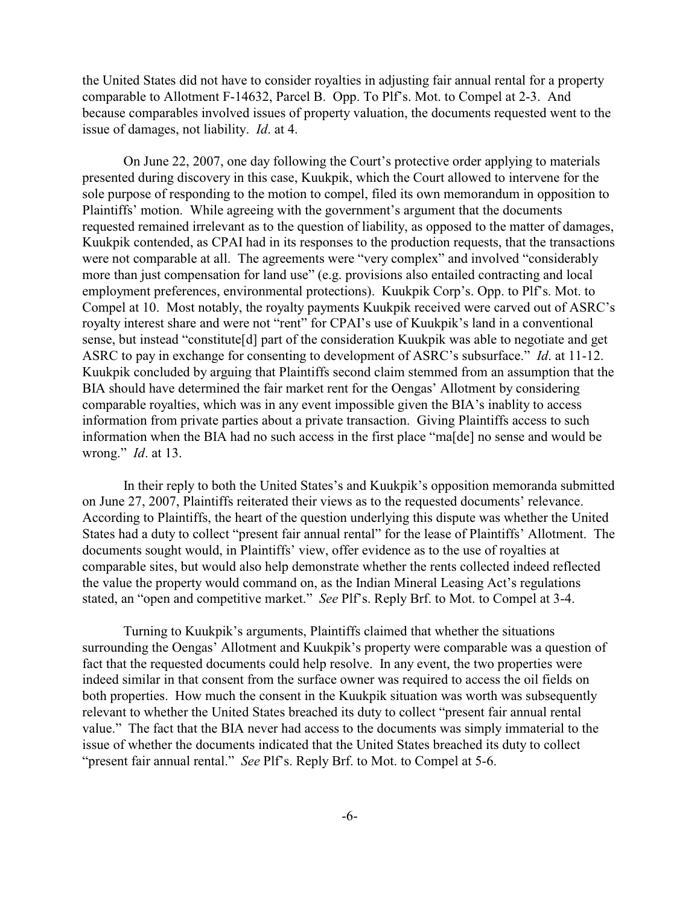the United States did not have to consider royalties in adjusting fair annual rental for a property comparable to Allotment F-14632, Parcel B. Opp. To Plf's. Mot. to Compel at 2-3. And because comparables involved issues of property valuation, the documents requested went to the issue of damages, not liability. *Id*. at 4.

On June 22, 2007, one day following the Court's protective order applying to materials presented during discovery in this case, Kuukpik, which the Court allowed to intervene for the sole purpose of responding to the motion to compel, filed its own memorandum in opposition to Plaintiffs' motion. While agreeing with the government's argument that the documents requested remained irrelevant as to the question of liability, as opposed to the matter of damages, Kuukpik contended, as CPAI had in its responses to the production requests, that the transactions were not comparable at all. The agreements were "very complex" and involved "considerably more than just compensation for land use" (e.g. provisions also entailed contracting and local employment preferences, environmental protections). Kuukpik Corp's. Opp. to Plf's. Mot. to Compel at 10. Most notably, the royalty payments Kuukpik received were carved out of ASRC's royalty interest share and were not "rent" for CPAI's use of Kuukpik's land in a conventional sense, but instead "constitute[d] part of the consideration Kuukpik was able to negotiate and get ASRC to pay in exchange for consenting to development of ASRC's subsurface." *Id*. at 11-12. Kuukpik concluded by arguing that Plaintiffs second claim stemmed from an assumption that the BIA should have determined the fair market rent for the Oengas' Allotment by considering comparable royalties, which was in any event impossible given the BIA's inablity to access information from private parties about a private transaction. Giving Plaintiffs access to such information when the BIA had no such access in the first place "ma[de] no sense and would be wrong." *Id*. at 13.

In their reply to both the United States's and Kuukpik's opposition memoranda submitted on June 27, 2007, Plaintiffs reiterated their views as to the requested documents' relevance. According to Plaintiffs, the heart of the question underlying this dispute was whether the United States had a duty to collect "present fair annual rental" for the lease of Plaintiffs' Allotment. The documents sought would, in Plaintiffs' view, offer evidence as to the use of royalties at comparable sites, but would also help demonstrate whether the rents collected indeed reflected the value the property would command on, as the Indian Mineral Leasing Act's regulations stated, an "open and competitive market." *See* Plf's. Reply Brf. to Mot. to Compel at 3-4.

Turning to Kuukpik's arguments, Plaintiffs claimed that whether the situations surrounding the Oengas' Allotment and Kuukpik's property were comparable was a question of fact that the requested documents could help resolve. In any event, the two properties were indeed similar in that consent from the surface owner was required to access the oil fields on both properties. How much the consent in the Kuukpik situation was worth was subsequently relevant to whether the United States breached its duty to collect "present fair annual rental value." The fact that the BIA never had access to the documents was simply immaterial to the issue of whether the documents indicated that the United States breached its duty to collect "present fair annual rental." *See* Plf's. Reply Brf. to Mot. to Compel at 5-6.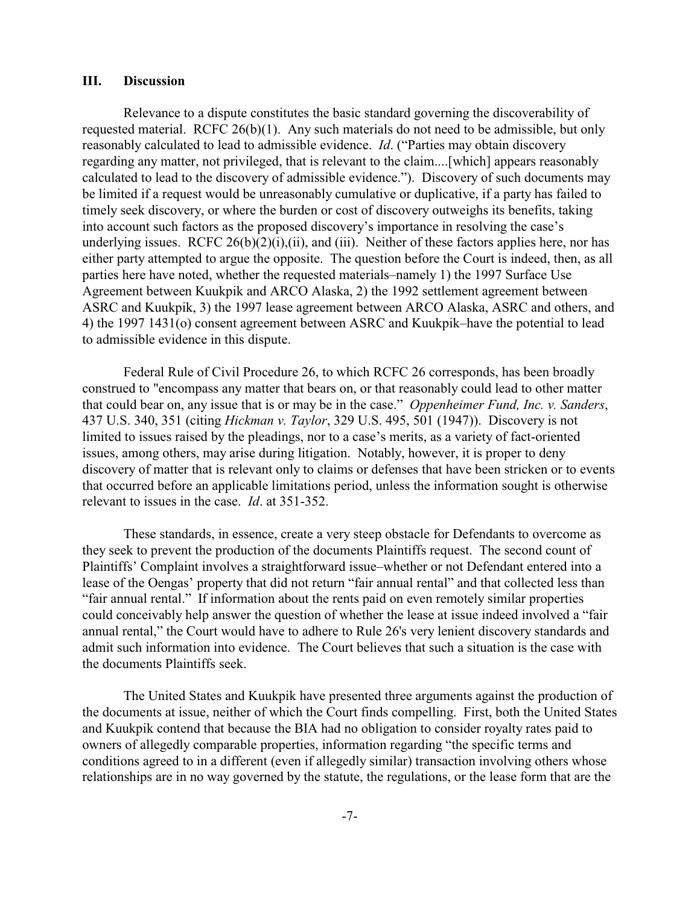#### **III. Discussion**

Relevance to a dispute constitutes the basic standard governing the discoverability of requested material. RCFC 26(b)(1). Any such materials do not need to be admissible, but only reasonably calculated to lead to admissible evidence. *Id*. ("Parties may obtain discovery regarding any matter, not privileged, that is relevant to the claim....[which] appears reasonably calculated to lead to the discovery of admissible evidence."). Discovery of such documents may be limited if a request would be unreasonably cumulative or duplicative, if a party has failed to timely seek discovery, or where the burden or cost of discovery outweighs its benefits, taking into account such factors as the proposed discovery's importance in resolving the case's underlying issues. RCFC  $26(b)(2)(i)$ , (ii), and (iii). Neither of these factors applies here, nor has either party attempted to argue the opposite. The question before the Court is indeed, then, as all parties here have noted, whether the requested materials–namely 1) the 1997 Surface Use Agreement between Kuukpik and ARCO Alaska, 2) the 1992 settlement agreement between ASRC and Kuukpik, 3) the 1997 lease agreement between ARCO Alaska, ASRC and others, and 4) the 1997 1431(o) consent agreement between ASRC and Kuukpik–have the potential to lead to admissible evidence in this dispute.

Federal Rule of Civil Procedure 26, to which RCFC 26 corresponds, has been broadly construed to "encompass any matter that bears on, or that reasonably could lead to other matter that could bear on, any issue that is or may be in the case." *Oppenheimer Fund, Inc. v. Sanders*, 437 U.S. 340, 351 (citing *Hickman v. Taylor*, 329 U.S. 495, 501 (1947)). Discovery is not limited to issues raised by the pleadings, nor to a case's merits, as a variety of fact-oriented issues, among others, may arise during litigation. Notably, however, it is proper to deny discovery of matter that is relevant only to claims or defenses that have been stricken or to events that occurred before an applicable limitations period, unless the information sought is otherwise relevant to issues in the case. *Id*. at 351-352.

These standards, in essence, create a very steep obstacle for Defendants to overcome as they seek to prevent the production of the documents Plaintiffs request. The second count of Plaintiffs' Complaint involves a straightforward issue–whether or not Defendant entered into a lease of the Oengas' property that did not return "fair annual rental" and that collected less than "fair annual rental." If information about the rents paid on even remotely similar properties could conceivably help answer the question of whether the lease at issue indeed involved a "fair annual rental," the Court would have to adhere to Rule 26's very lenient discovery standards and admit such information into evidence. The Court believes that such a situation is the case with the documents Plaintiffs seek.

The United States and Kuukpik have presented three arguments against the production of the documents at issue, neither of which the Court finds compelling. First, both the United States and Kuukpik contend that because the BIA had no obligation to consider royalty rates paid to owners of allegedly comparable properties, information regarding "the specific terms and conditions agreed to in a different (even if allegedly similar) transaction involving others whose relationships are in no way governed by the statute, the regulations, or the lease form that are the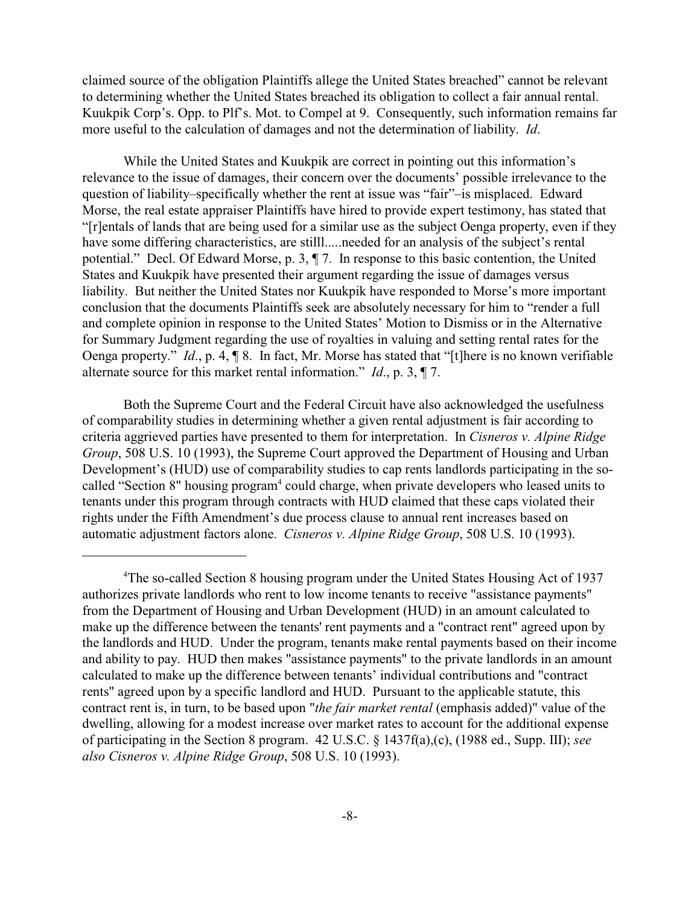claimed source of the obligation Plaintiffs allege the United States breached" cannot be relevant to determining whether the United States breached its obligation to collect a fair annual rental. Kuukpik Corp's. Opp. to Plf's. Mot. to Compel at 9. Consequently, such information remains far more useful to the calculation of damages and not the determination of liability. *Id*.

While the United States and Kuukpik are correct in pointing out this information's relevance to the issue of damages, their concern over the documents' possible irrelevance to the question of liability–specifically whether the rent at issue was "fair"–is misplaced. Edward Morse, the real estate appraiser Plaintiffs have hired to provide expert testimony, has stated that "[r]entals of lands that are being used for a similar use as the subject Oenga property, even if they have some differing characteristics, are stilll.....needed for an analysis of the subject's rental potential." Decl. Of Edward Morse, p. 3, ¶ 7. In response to this basic contention, the United States and Kuukpik have presented their argument regarding the issue of damages versus liability. But neither the United States nor Kuukpik have responded to Morse's more important conclusion that the documents Plaintiffs seek are absolutely necessary for him to "render a full and complete opinion in response to the United States' Motion to Dismiss or in the Alternative for Summary Judgment regarding the use of royalties in valuing and setting rental rates for the Oenga property." *Id*., p. 4, ¶ 8. In fact, Mr. Morse has stated that "[t]here is no known verifiable alternate source for this market rental information." *Id*., p. 3, ¶ 7.

Both the Supreme Court and the Federal Circuit have also acknowledged the usefulness of comparability studies in determining whether a given rental adjustment is fair according to criteria aggrieved parties have presented to them for interpretation. In *Cisneros v. Alpine Ridge Group*, 508 U.S. 10 (1993), the Supreme Court approved the Department of Housing and Urban Development's (HUD) use of comparability studies to cap rents landlords participating in the socalled "Section 8" housing program<sup>4</sup> could charge, when private developers who leased units to tenants under this program through contracts with HUD claimed that these caps violated their rights under the Fifth Amendment's due process clause to annual rent increases based on automatic adjustment factors alone. *Cisneros v. Alpine Ridge Group*, 508 U.S. 10 (1993).

<sup>&</sup>lt;sup>4</sup>The so-called Section 8 housing program under the United States Housing Act of 1937 authorizes private landlords who rent to low income tenants to receive "assistance payments" from the Department of Housing and Urban Development (HUD) in an amount calculated to make up the difference between the tenants' rent payments and a "contract rent" agreed upon by the landlords and HUD. Under the program, tenants make rental payments based on their income and ability to pay. HUD then makes "assistance payments" to the private landlords in an amount calculated to make up the difference between tenants' individual contributions and "contract rents" agreed upon by a specific landlord and HUD. Pursuant to the applicable statute, this contract rent is, in turn, to be based upon "*the fair market rental* (emphasis added)" value of the dwelling, allowing for a modest increase over market rates to account for the additional expense of participating in the Section 8 program. 42 U.S.C. § 1437f(a),(c), (1988 ed., Supp. III); *see also Cisneros v. Alpine Ridge Group*, 508 U.S. 10 (1993).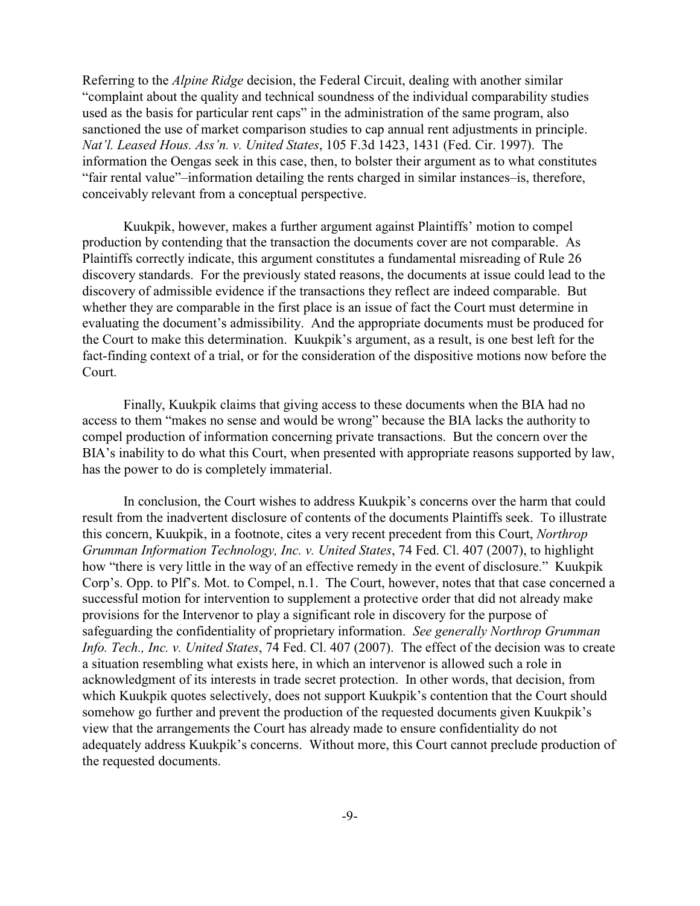Referring to the *Alpine Ridge* decision, the Federal Circuit, dealing with another similar "complaint about the quality and technical soundness of the individual comparability studies used as the basis for particular rent caps" in the administration of the same program, also sanctioned the use of market comparison studies to cap annual rent adjustments in principle. *Nat'l. Leased Hous. Ass'n. v. United States*, 105 F.3d 1423, 1431 (Fed. Cir. 1997). The information the Oengas seek in this case, then, to bolster their argument as to what constitutes "fair rental value"–information detailing the rents charged in similar instances–is, therefore, conceivably relevant from a conceptual perspective.

Kuukpik, however, makes a further argument against Plaintiffs' motion to compel production by contending that the transaction the documents cover are not comparable. As Plaintiffs correctly indicate, this argument constitutes a fundamental misreading of Rule 26 discovery standards. For the previously stated reasons, the documents at issue could lead to the discovery of admissible evidence if the transactions they reflect are indeed comparable. But whether they are comparable in the first place is an issue of fact the Court must determine in evaluating the document's admissibility. And the appropriate documents must be produced for the Court to make this determination. Kuukpik's argument, as a result, is one best left for the fact-finding context of a trial, or for the consideration of the dispositive motions now before the Court.

Finally, Kuukpik claims that giving access to these documents when the BIA had no access to them "makes no sense and would be wrong" because the BIA lacks the authority to compel production of information concerning private transactions. But the concern over the BIA's inability to do what this Court, when presented with appropriate reasons supported by law, has the power to do is completely immaterial.

In conclusion, the Court wishes to address Kuukpik's concerns over the harm that could result from the inadvertent disclosure of contents of the documents Plaintiffs seek. To illustrate this concern, Kuukpik, in a footnote, cites a very recent precedent from this Court, *Northrop Grumman Information Technology, Inc. v. United States*, 74 Fed. Cl. 407 (2007), to highlight how "there is very little in the way of an effective remedy in the event of disclosure." Kuukpik Corp's. Opp. to Plf's. Mot. to Compel, n.1. The Court, however, notes that that case concerned a successful motion for intervention to supplement a protective order that did not already make provisions for the Intervenor to play a significant role in discovery for the purpose of safeguarding the confidentiality of proprietary information. *See generally Northrop Grumman Info. Tech., Inc. v. United States*, 74 Fed. Cl. 407 (2007). The effect of the decision was to create a situation resembling what exists here, in which an intervenor is allowed such a role in acknowledgment of its interests in trade secret protection. In other words, that decision, from which Kuukpik quotes selectively, does not support Kuukpik's contention that the Court should somehow go further and prevent the production of the requested documents given Kuukpik's view that the arrangements the Court has already made to ensure confidentiality do not adequately address Kuukpik's concerns. Without more, this Court cannot preclude production of the requested documents.